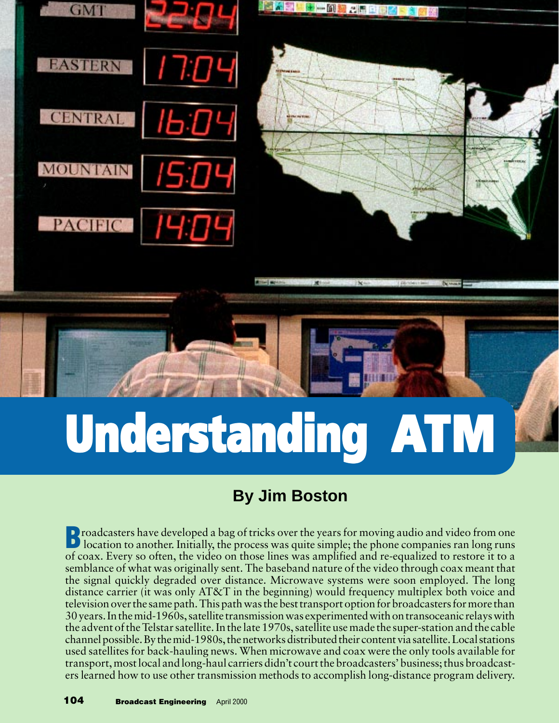

# **Understanding Understanding Understanding ATM**

## **By Jim Boston**

**B** roadcasters have developed a bag of tricks over the years for moving audio and video from one<br>location to another. Initially, the process was quite simple; the phone companies ran long runs of coax. Every so often, the video on those lines was amplified and re-equalized to restore it to a semblance of what was originally sent. The baseband nature of the video through coax meant that the signal quickly degraded over distance. Microwave systems were soon employed. The long distance carrier (it was only AT&T in the beginning) would frequency multiplex both voice and television over the same path. This path was the best transport option for broadcasters for more than 30 years. In the mid-1960s, satellite transmission was experimented with on transoceanic relays with the advent of the Telstar satellite. In the late 1970s, satellite use made the super-station and the cable channel possible. By the mid-1980s, the networks distributed their content via satellite. Local stations used satellites for back-hauling news. When microwave and coax were the only tools available for transport, most local and long-haul carriers didn't court the broadcasters' business; thus broadcasters learned how to use other transmission methods to accomplish long-distance program delivery.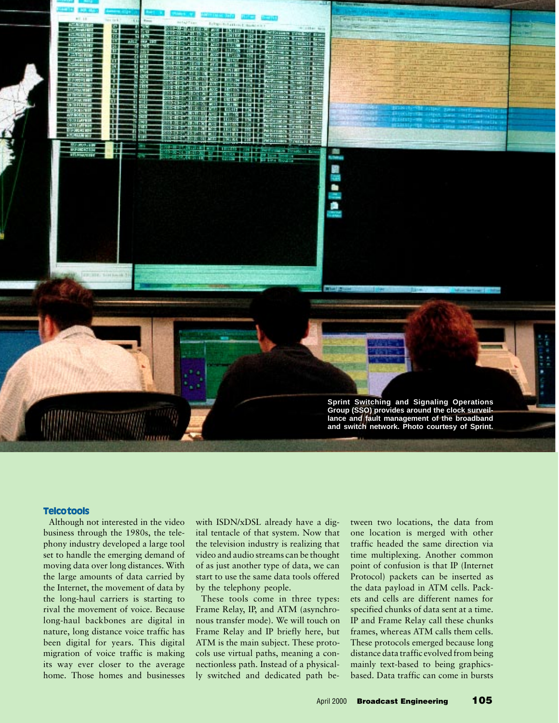

#### **Telco tools**

Although not interested in the video business through the 1980s, the telephony industry developed a large tool set to handle the emerging demand of moving data over long distances. With the large amounts of data carried by the Internet, the movement of data by the long-haul carriers is starting to rival the movement of voice. Because long-haul backbones are digital in nature, long distance voice traffic has been digital for years. This digital migration of voice traffic is making its way ever closer to the average home. Those homes and businesses

with ISDN/xDSL already have a digital tentacle of that system. Now that the television industry is realizing that video and audio streams can be thought of as just another type of data, we can start to use the same data tools offered by the telephony people.

These tools come in three types: Frame Relay, IP, and ATM (asynchronous transfer mode). We will touch on Frame Relay and IP briefly here, but ATM is the main subject. These protocols use virtual paths, meaning a connectionless path. Instead of a physically switched and dedicated path between two locations, the data from one location is merged with other traffic headed the same direction via time multiplexing. Another common point of confusion is that IP (Internet Protocol) packets can be inserted as the data payload in ATM cells. Packets and cells are different names for specified chunks of data sent at a time. IP and Frame Relay call these chunks frames, whereas ATM calls them cells. These protocols emerged because long distance data traffic evolved from being mainly text-based to being graphicsbased. Data traffic can come in bursts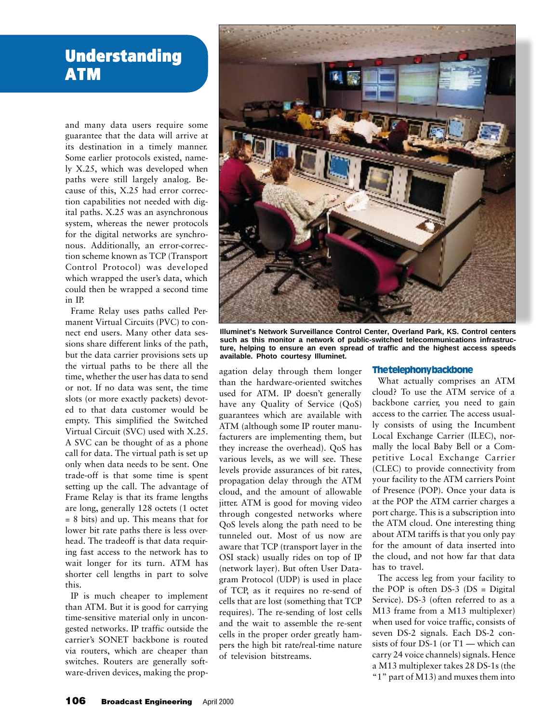## **Understanding Understanding ATM**

and many data users require some guarantee that the data will arrive at its destination in a timely manner. Some earlier protocols existed, namely X.25, which was developed when paths were still largely analog. Because of this, X.25 had error correction capabilities not needed with digital paths. X.25 was an asynchronous system, whereas the newer protocols for the digital networks are synchronous. Additionally, an error-correction scheme known as TCP (Transport Control Protocol) was developed which wrapped the user's data, which could then be wrapped a second time in IP.

Frame Relay uses paths called Permanent Virtual Circuits (PVC) to connect end users. Many other data sessions share different links of the path, but the data carrier provisions sets up the virtual paths to be there all the time, whether the user has data to send or not. If no data was sent, the time slots (or more exactly packets) devoted to that data customer would be empty. This simplified the Switched Virtual Circuit (SVC) used with X.25. A SVC can be thought of as a phone call for data. The virtual path is set up only when data needs to be sent. One trade-off is that some time is spent setting up the call. The advantage of Frame Relay is that its frame lengths are long, generally 128 octets (1 octet = 8 bits) and up. This means that for lower bit rate paths there is less overhead. The tradeoff is that data requiring fast access to the network has to wait longer for its turn. ATM has shorter cell lengths in part to solve this.

IP is much cheaper to implement than ATM. But it is good for carrying time-sensitive material only in uncongested networks. IP traffic outside the carrier's SONET backbone is routed via routers, which are cheaper than switches. Routers are generally software-driven devices, making the prop-



**Illuminet's Network Surveillance Control Center, Overland Park, KS. Control centers such as this monitor a network of public-switched telecommunications infrastructure, helping to ensure an even spread of traffic and the highest access speeds available. Photo courtesy Illuminet.**

agation delay through them longer than the hardware-oriented switches used for ATM. IP doesn't generally have any Quality of Service (QoS) guarantees which are available with ATM (although some IP router manufacturers are implementing them, but they increase the overhead). QoS has various levels, as we will see. These levels provide assurances of bit rates, propagation delay through the ATM cloud, and the amount of allowable jitter. ATM is good for moving video through congested networks where QoS levels along the path need to be tunneled out. Most of us now are aware that TCP (transport layer in the OSI stack) usually rides on top of IP (network layer). But often User Datagram Protocol (UDP) is used in place of TCP, as it requires no re-send of cells that are lost (something that TCP requires). The re-sending of lost cells and the wait to assemble the re-sent cells in the proper order greatly hampers the high bit rate/real-time nature of television bitstreams.

#### **The telephony backbone**

What actually comprises an ATM cloud? To use the ATM service of a backbone carrier, you need to gain access to the carrier. The access usually consists of using the Incumbent Local Exchange Carrier (ILEC), normally the local Baby Bell or a Competitive Local Exchange Carrier (CLEC) to provide connectivity from your facility to the ATM carriers Point of Presence (POP). Once your data is at the POP the ATM carrier charges a port charge. This is a subscription into the ATM cloud. One interesting thing about ATM tariffs is that you only pay for the amount of data inserted into the cloud, and not how far that data has to travel.

The access leg from your facility to the POP is often DS-3 (DS = Digital Service). DS-3 (often referred to as a M13 frame from a M13 multiplexer) when used for voice traffic, consists of seven DS-2 signals. Each DS-2 consists of four DS-1 (or T1 — which can carry 24 voice channels) signals. Hence a M13 multiplexer takes 28 DS-1s (the "1" part of M13) and muxes them into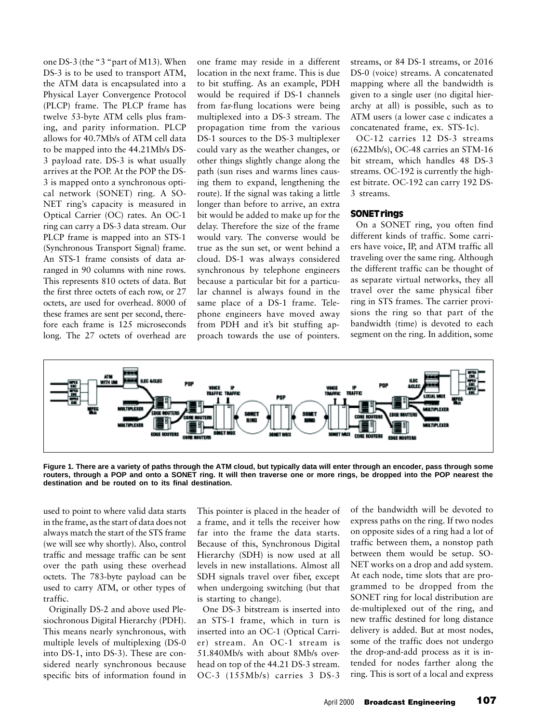one DS-3 (the "3 "part of M13). When DS-3 is to be used to transport ATM, the ATM data is encapsulated into a Physical Layer Convergence Protocol (PLCP) frame. The PLCP frame has twelve 53-byte ATM cells plus framing, and parity information. PLCP allows for 40.7Mb/s of ATM cell data to be mapped into the 44.21Mb/s DS-3 payload rate. DS-3 is what usually arrives at the POP. At the POP the DS-3 is mapped onto a synchronous optical network (SONET) ring. A SO-NET ring's capacity is measured in Optical Carrier (OC) rates. An OC-1 ring can carry a DS-3 data stream. Our PLCP frame is mapped into an STS-1 (Synchronous Transport Signal) frame. An STS-1 frame consists of data arranged in 90 columns with nine rows. This represents 810 octets of data. But the first three octets of each row, or 27 octets, are used for overhead. 8000 of these frames are sent per second, therefore each frame is 125 microseconds long. The 27 octets of overhead are

one frame may reside in a different location in the next frame. This is due to bit stuffing. As an example, PDH would be required if DS-1 channels from far-flung locations were being multiplexed into a DS-3 stream. The propagation time from the various DS-1 sources to the DS-3 multiplexer could vary as the weather changes, or other things slightly change along the path (sun rises and warms lines causing them to expand, lengthening the route). If the signal was taking a little longer than before to arrive, an extra bit would be added to make up for the delay. Therefore the size of the frame would vary. The converse would be true as the sun set, or went behind a cloud. DS-1 was always considered synchronous by telephone engineers because a particular bit for a particular channel is always found in the same place of a DS-1 frame. Telephone engineers have moved away from PDH and it's bit stuffing approach towards the use of pointers.

streams, or 84 DS-1 streams, or 2016 DS-0 (voice) streams. A concatenated mapping where all the bandwidth is given to a single user (no digital hierarchy at all) is possible, such as to ATM users (a lower case c indicates a concatenated frame, ex. STS-1c).

OC-12 carries 12 DS-3 streams (622Mb/s), OC-48 carries an STM-16 bit stream, which handles 48 DS-3 streams. OC-192 is currently the highest bitrate. OC-192 can carry 192 DS-3 streams.

#### SONET rings

On a SONET ring, you often find different kinds of traffic. Some carriers have voice, IP, and ATM traffic all traveling over the same ring. Although the different traffic can be thought of as separate virtual networks, they all travel over the same physical fiber ring in STS frames. The carrier provisions the ring so that part of the bandwidth (time) is devoted to each segment on the ring. In addition, some



**Figure 1. There are a variety of paths through the ATM cloud, but typically data will enter through an encoder, pass through some routers, through a POP and onto a SONET ring. It will then traverse one or more rings, be dropped into the POP nearest the destination and be routed on to its final destination.**

used to point to where valid data starts in the frame, as the start of data does not always match the start of the STS frame (we will see why shortly). Also, control traffic and message traffic can be sent over the path using these overhead octets. The 783-byte payload can be used to carry ATM, or other types of traffic.

Originally DS-2 and above used Plesiochronous Digital Hierarchy (PDH). This means nearly synchronous, with multiple levels of multiplexing (DS-0 into DS-1, into DS-3). These are considered nearly synchronous because specific bits of information found in This pointer is placed in the header of a frame, and it tells the receiver how far into the frame the data starts. Because of this, Synchronous Digital Hierarchy (SDH) is now used at all levels in new installations. Almost all SDH signals travel over fiber, except when undergoing switching (but that is starting to change).

One DS-3 bitstream is inserted into an STS-1 frame, which in turn is inserted into an OC-1 (Optical Carrier) stream. An OC-1 stream is 51.840Mb/s with about 8Mb/s overhead on top of the 44.21 DS-3 stream. OC-3 (155Mb/s) carries 3 DS-3 of the bandwidth will be devoted to express paths on the ring. If two nodes on opposite sides of a ring had a lot of traffic between them, a nonstop path between them would be setup. SO-NET works on a drop and add system. At each node, time slots that are programmed to be dropped from the SONET ring for local distribution are de-multiplexed out of the ring, and new traffic destined for long distance delivery is added. But at most nodes, some of the traffic does not undergo the drop-and-add process as it is intended for nodes farther along the ring. This is sort of a local and express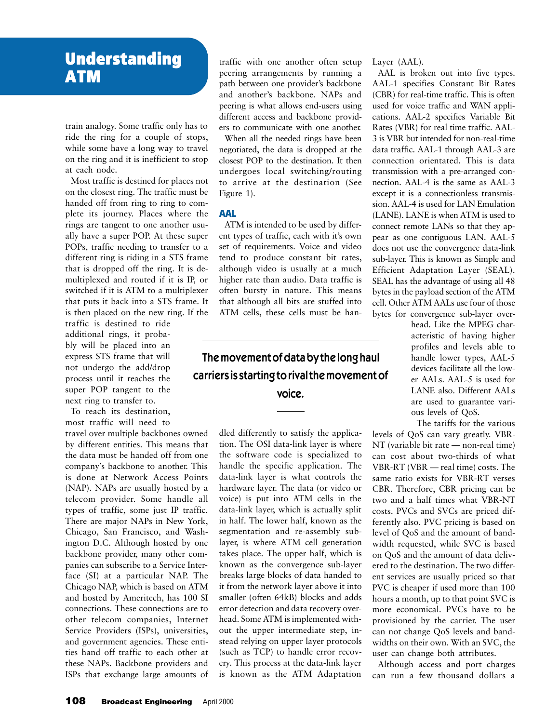## **Understanding Understanding ATM**

train analogy. Some traffic only has to ride the ring for a couple of stops, while some have a long way to travel on the ring and it is inefficient to stop at each node.

Most traffic is destined for places not on the closest ring. The traffic must be handed off from ring to ring to complete its journey. Places where the rings are tangent to one another usually have a super POP. At these super POPs, traffic needing to transfer to a different ring is riding in a STS frame that is dropped off the ring. It is demultiplexed and routed if it is IP, or switched if it is ATM to a multiplexer that puts it back into a STS frame. It is then placed on the new ring. If the

traffic is destined to ride additional rings, it probably will be placed into an express STS frame that will not undergo the add/drop process until it reaches the super POP tangent to the next ring to transfer to.

To reach its destination, most traffic will need to

travel over multiple backbones owned by different entities. This means that the data must be handed off from one company's backbone to another. This is done at Network Access Points (NAP). NAPs are usually hosted by a telecom provider. Some handle all types of traffic, some just IP traffic. There are major NAPs in New York, Chicago, San Francisco, and Washington D.C. Although hosted by one backbone provider, many other companies can subscribe to a Service Interface (SI) at a particular NAP. The Chicago NAP, which is based on ATM and hosted by Ameritech, has 100 SI connections. These connections are to other telecom companies, Internet Service Providers (ISPs), universities, and government agencies. These entities hand off traffic to each other at these NAPs. Backbone providers and ISPs that exchange large amounts of

traffic with one another often setup peering arrangements by running a path between one provider's backbone and another's backbone. NAPs and peering is what allows end-users using different access and backbone providers to communicate with one another.

When all the needed rings have been negotiated, the data is dropped at the closest POP to the destination. It then undergoes local switching/routing to arrive at the destination (See Figure 1).

#### AAL

ATM is intended to be used by different types of traffic, each with it's own set of requirements. Voice and video tend to produce constant bit rates, although video is usually at a much higher rate than audio. Data traffic is often bursty in nature. This means that although all bits are stuffed into ATM cells, these cells must be han-

### The movement of data by the long haul carriers is starting to rival the movement of voice.

dled differently to satisfy the application. The OSI data-link layer is where the software code is specialized to handle the specific application. The data-link layer is what controls the hardware layer. The data (or video or voice) is put into ATM cells in the data-link layer, which is actually split in half. The lower half, known as the segmentation and re-assembly sublayer, is where ATM cell generation takes place. The upper half, which is known as the convergence sub-layer breaks large blocks of data handed to it from the network layer above it into smaller (often 64kB) blocks and adds error detection and data recovery overhead. Some ATM is implemented without the upper intermediate step, instead relying on upper layer protocols (such as TCP) to handle error recovery. This process at the data-link layer is known as the ATM Adaptation

Layer (AAL).

AAL is broken out into five types. AAL-1 specifies Constant Bit Rates (CBR) for real-time traffic. This is often used for voice traffic and WAN applications. AAL-2 specifies Variable Bit Rates (VBR) for real time traffic. AAL-3 is VBR but intended for non-real-time data traffic. AAL-1 through AAL-3 are connection orientated. This is data transmission with a pre-arranged connection. AAL-4 is the same as AAL-3 except it is a connectionless transmission. AAL-4 is used for LAN Emulation (LANE). LANE is when ATM is used to connect remote LANs so that they appear as one contiguous LAN. AAL-5 does not use the convergence data-link sub-layer. This is known as Simple and Efficient Adaptation Layer (SEAL). SEAL has the advantage of using all 48 bytes in the payload section of the ATM cell. Other ATM AALs use four of those bytes for convergence sub-layer over-

> head. Like the MPEG characteristic of having higher profiles and levels able to handle lower types, AAL-5 devices facilitate all the lower AALs. AAL-5 is used for LANE also. Different AALs are used to guarantee various levels of QoS.

The tariffs for the various

levels of QoS can vary greatly. VBR-NT (variable bit rate — non-real time) can cost about two-thirds of what VBR-RT (VBR — real time) costs. The same ratio exists for VBR-RT verses CBR. Therefore, CBR pricing can be two and a half times what VBR-NT costs. PVCs and SVCs are priced differently also. PVC pricing is based on level of QoS and the amount of bandwidth requested, while SVC is based on QoS and the amount of data delivered to the destination. The two different services are usually priced so that PVC is cheaper if used more than 100 hours a month, up to that point SVC is more economical. PVCs have to be provisioned by the carrier. The user can not change QoS levels and bandwidths on their own. With an SVC, the user can change both attributes.

Although access and port charges can run a few thousand dollars a